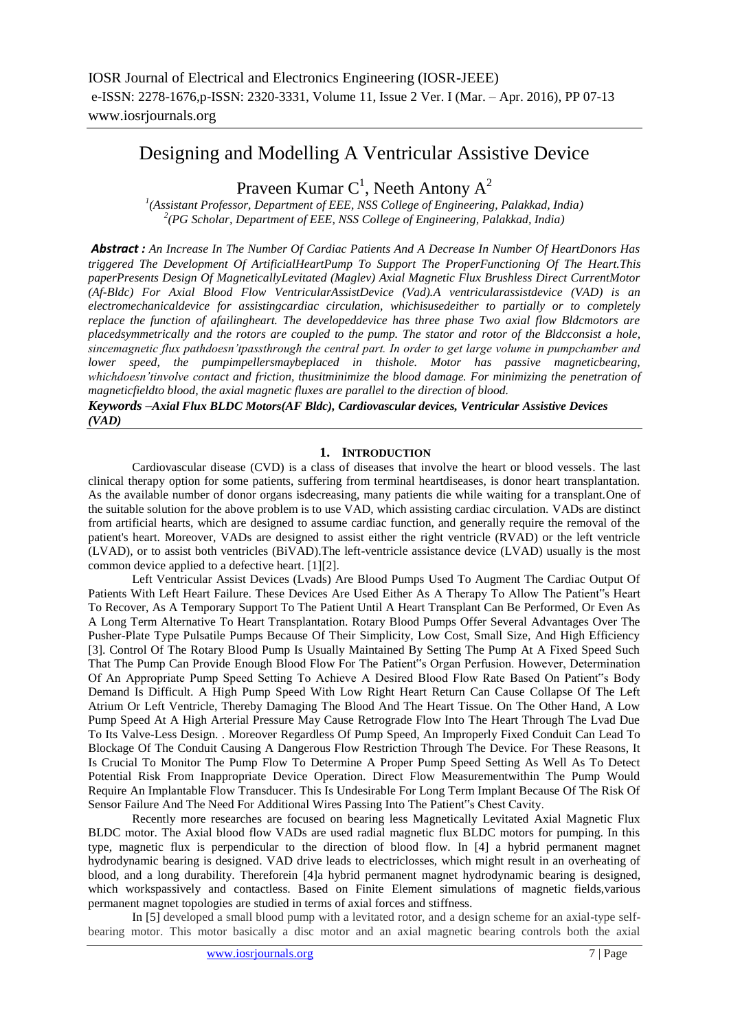# Designing and Modelling A Ventricular Assistive Device

Praveen Kumar  $C^1$ , Neeth Antony  $A^2$ 

*1 (Assistant Professor, Department of EEE, NSS College of Engineering, Palakkad, India) 2 (PG Scholar, Department of EEE, NSS College of Engineering, Palakkad, India)*

*Abstract : An Increase In The Number Of Cardiac Patients And A Decrease In Number Of HeartDonors Has triggered The Development Of ArtificialHeartPump To Support The ProperFunctioning Of The Heart.This paperPresents Design Of MagneticallyLevitated (Maglev) Axial Magnetic Flux Brushless Direct CurrentMotor (Af-Bldc) For Axial Blood Flow VentricularAssistDevice (Vad).A ventricularassistdevice (VAD) is an electromechanicaldevice for assistingcardiac circulation, whichisusedeither to partially or to completely replace the function of afailingheart. The developeddevice has three phase Two axial flow Bldcmotors are placedsymmetrically and the rotors are coupled to the pump. The stator and rotor of the Bldcconsist a hole, sincemagnetic flux pathdoesn'tpassthrough the central part. In order to get large volume in pumpchamber and lower speed, the pumpimpellersmaybeplaced in thishole. Motor has passive magneticbearing, whichdoesn'tinvolve contact and friction, thusitminimize the blood damage. For minimizing the penetration of magneticfieldto blood, the axial magnetic fluxes are parallel to the direction of blood.*

*Keywords –Axial Flux BLDC Motors(AF Bldc), Cardiovascular devices, Ventricular Assistive Devices (VAD)*

# **1. INTRODUCTION**

Cardiovascular disease (CVD) is a class of diseases that involve the heart or blood vessels. The last clinical therapy option for some patients, suffering from terminal heartdiseases, is donor heart transplantation. As the available number of donor organs isdecreasing, many patients die while waiting for a transplant.One of the suitable solution for the above problem is to use VAD, which assisting cardiac circulation. VADs are distinct from artificial hearts, which are designed to assume cardiac function, and generally require the removal of the patient's heart. Moreover, VADs are designed to assist either the right ventricle (RVAD) or the left ventricle (LVAD), or to assist both ventricles (BiVAD).The left-ventricle assistance device (LVAD) usually is the most common device applied to a defective heart. [1][2].

Left Ventricular Assist Devices (Lvads) Are Blood Pumps Used To Augment The Cardiac Output Of Patients With Left Heart Failure. These Devices Are Used Either As A Therapy To Allow The Patient"s Heart To Recover, As A Temporary Support To The Patient Until A Heart Transplant Can Be Performed, Or Even As A Long Term Alternative To Heart Transplantation. Rotary Blood Pumps Offer Several Advantages Over The Pusher-Plate Type Pulsatile Pumps Because Of Their Simplicity, Low Cost, Small Size, And High Efficiency [3]. Control Of The Rotary Blood Pump Is Usually Maintained By Setting The Pump At A Fixed Speed Such That The Pump Can Provide Enough Blood Flow For The Patient"s Organ Perfusion. However, Determination Of An Appropriate Pump Speed Setting To Achieve A Desired Blood Flow Rate Based On Patient"s Body Demand Is Difficult. A High Pump Speed With Low Right Heart Return Can Cause Collapse Of The Left Atrium Or Left Ventricle, Thereby Damaging The Blood And The Heart Tissue. On The Other Hand, A Low Pump Speed At A High Arterial Pressure May Cause Retrograde Flow Into The Heart Through The Lvad Due To Its Valve-Less Design. . Moreover Regardless Of Pump Speed, An Improperly Fixed Conduit Can Lead To Blockage Of The Conduit Causing A Dangerous Flow Restriction Through The Device. For These Reasons, It Is Crucial To Monitor The Pump Flow To Determine A Proper Pump Speed Setting As Well As To Detect Potential Risk From Inappropriate Device Operation. Direct Flow Measurementwithin The Pump Would Require An Implantable Flow Transducer. This Is Undesirable For Long Term Implant Because Of The Risk Of Sensor Failure And The Need For Additional Wires Passing Into The Patient"s Chest Cavity.

Recently more researches are focused on bearing less Magnetically Levitated Axial Magnetic Flux BLDC motor. The Axial blood flow VADs are used radial magnetic flux BLDC motors for pumping. In this type, magnetic flux is perpendicular to the direction of blood flow. In [4] a hybrid permanent magnet hydrodynamic bearing is designed. VAD drive leads to electriclosses, which might result in an overheating of blood, and a long durability. Thereforein [4]a hybrid permanent magnet hydrodynamic bearing is designed, which workspassively and contactless. Based on Finite Element simulations of magnetic fields, various permanent magnet topologies are studied in terms of axial forces and stiffness.

In [5] developed a small blood pump with a levitated rotor, and a design scheme for an axial-type selfbearing motor. This motor basically a disc motor and an axial magnetic bearing controls both the axial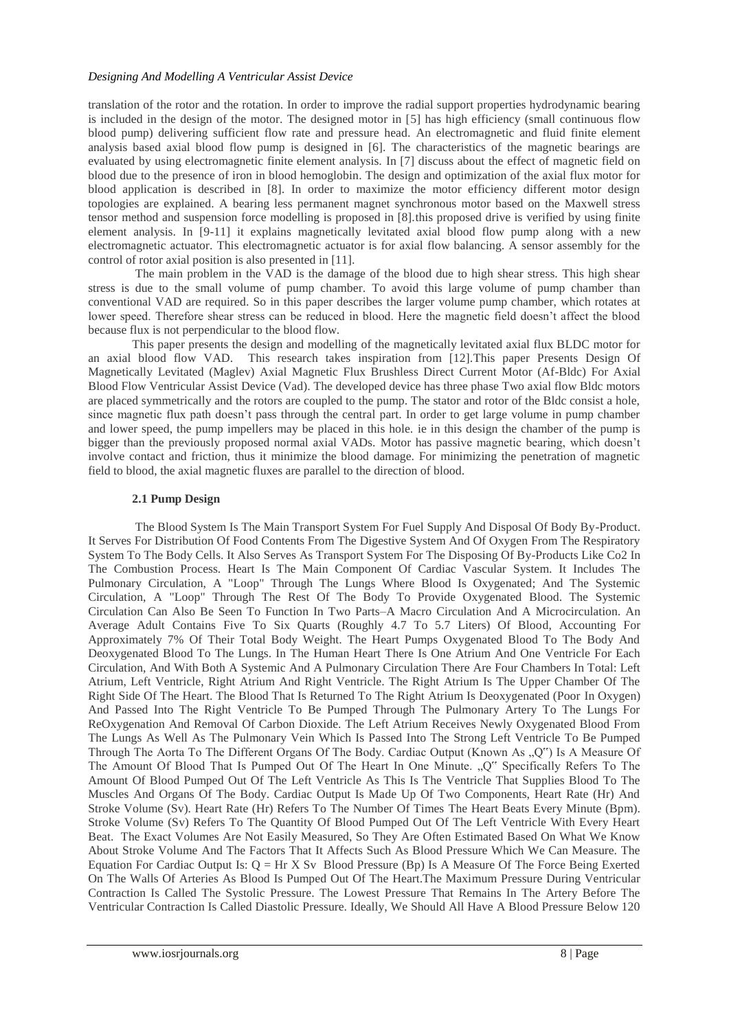#### *Designing And Modelling A Ventricular Assist Device*

translation of the rotor and the rotation. In order to improve the radial support properties hydrodynamic bearing is included in the design of the motor. The designed motor in [5] has high efficiency (small continuous flow blood pump) delivering sufficient flow rate and pressure head. An electromagnetic and fluid finite element analysis based axial blood flow pump is designed in [6]. The characteristics of the magnetic bearings are evaluated by using electromagnetic finite element analysis. In [7] discuss about the effect of magnetic field on blood due to the presence of iron in blood hemoglobin. The design and optimization of the axial flux motor for blood application is described in [8]. In order to maximize the motor efficiency different motor design topologies are explained. A bearing less permanent magnet synchronous motor based on the Maxwell stress tensor method and suspension force modelling is proposed in [8].this proposed drive is verified by using finite element analysis. In [9-11] it explains magnetically levitated axial blood flow pump along with a new electromagnetic actuator. This electromagnetic actuator is for axial flow balancing. A sensor assembly for the control of rotor axial position is also presented in [11].

The main problem in the VAD is the damage of the blood due to high shear stress. This high shear stress is due to the small volume of pump chamber. To avoid this large volume of pump chamber than conventional VAD are required. So in this paper describes the larger volume pump chamber, which rotates at lower speed. Therefore shear stress can be reduced in blood. Here the magnetic field doesn"t affect the blood because flux is not perpendicular to the blood flow.

This paper presents the design and modelling of the magnetically levitated axial flux BLDC motor for an axial blood flow VAD. This research takes inspiration from [12].This paper Presents Design Of Magnetically Levitated (Maglev) Axial Magnetic Flux Brushless Direct Current Motor (Af-Bldc) For Axial Blood Flow Ventricular Assist Device (Vad). The developed device has three phase Two axial flow Bldc motors are placed symmetrically and the rotors are coupled to the pump. The stator and rotor of the Bldc consist a hole, since magnetic flux path doesn"t pass through the central part. In order to get large volume in pump chamber and lower speed, the pump impellers may be placed in this hole. ie in this design the chamber of the pump is bigger than the previously proposed normal axial VADs. Motor has passive magnetic bearing, which doesn"t involve contact and friction, thus it minimize the blood damage. For minimizing the penetration of magnetic field to blood, the axial magnetic fluxes are parallel to the direction of blood.

#### **2.1 Pump Design**

The Blood System Is The Main Transport System For Fuel Supply And Disposal Of Body By-Product. It Serves For Distribution Of Food Contents From The Digestive System And Of Oxygen From The Respiratory System To The Body Cells. It Also Serves As Transport System For The Disposing Of By-Products Like Co2 In The Combustion Process. Heart Is The Main Component Of Cardiac Vascular System. It Includes The Pulmonary Circulation, A "Loop" Through The Lungs Where Blood Is Oxygenated; And The Systemic Circulation, A "Loop" Through The Rest Of The Body To Provide Oxygenated Blood. The Systemic Circulation Can Also Be Seen To Function In Two Parts–A Macro Circulation And A Microcirculation. An Average Adult Contains Five To Six Quarts (Roughly 4.7 To 5.7 Liters) Of Blood, Accounting For Approximately 7% Of Their Total Body Weight. The Heart Pumps Oxygenated Blood To The Body And Deoxygenated Blood To The Lungs. In The Human Heart There Is One Atrium And One Ventricle For Each Circulation, And With Both A Systemic And A Pulmonary Circulation There Are Four Chambers In Total: Left Atrium, Left Ventricle, Right Atrium And Right Ventricle. The Right Atrium Is The Upper Chamber Of The Right Side Of The Heart. The Blood That Is Returned To The Right Atrium Is Deoxygenated (Poor In Oxygen) And Passed Into The Right Ventricle To Be Pumped Through The Pulmonary Artery To The Lungs For ReOxygenation And Removal Of Carbon Dioxide. The Left Atrium Receives Newly Oxygenated Blood From The Lungs As Well As The Pulmonary Vein Which Is Passed Into The Strong Left Ventricle To Be Pumped Through The Aorta To The Different Organs Of The Body. Cardiac Output (Known As .,Q") Is A Measure Of The Amount Of Blood That Is Pumped Out Of The Heart In One Minute. "Q" Specifically Refers To The Amount Of Blood Pumped Out Of The Left Ventricle As This Is The Ventricle That Supplies Blood To The Muscles And Organs Of The Body. Cardiac Output Is Made Up Of Two Components, Heart Rate (Hr) And Stroke Volume (Sv). Heart Rate (Hr) Refers To The Number Of Times The Heart Beats Every Minute (Bpm). Stroke Volume (Sv) Refers To The Quantity Of Blood Pumped Out Of The Left Ventricle With Every Heart Beat. The Exact Volumes Are Not Easily Measured, So They Are Often Estimated Based On What We Know About Stroke Volume And The Factors That It Affects Such As Blood Pressure Which We Can Measure. The Equation For Cardiac Output Is: Q = Hr X Sv Blood Pressure (Bp) Is A Measure Of The Force Being Exerted On The Walls Of Arteries As Blood Is Pumped Out Of The Heart.The Maximum Pressure During Ventricular Contraction Is Called The Systolic Pressure. The Lowest Pressure That Remains In The Artery Before The Ventricular Contraction Is Called Diastolic Pressure. Ideally, We Should All Have A Blood Pressure Below 120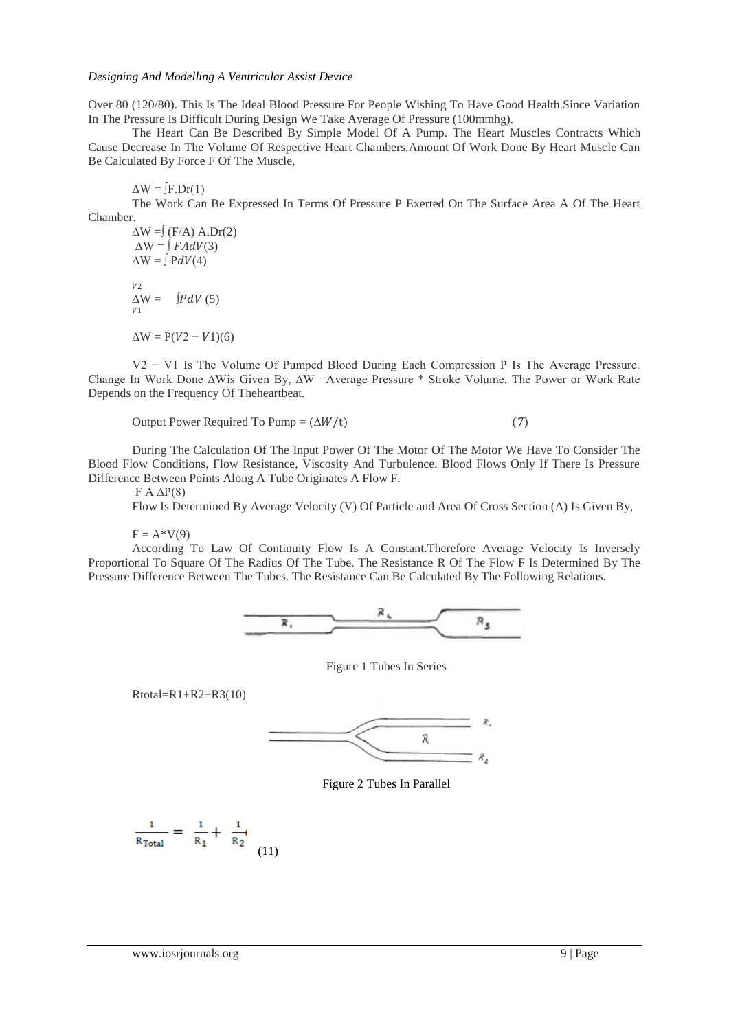#### *Designing And Modelling A Ventricular Assist Device*

Over 80 (120/80). This Is The Ideal Blood Pressure For People Wishing To Have Good Health.Since Variation In The Pressure Is Difficult During Design We Take Average Of Pressure (100mmhg).

The Heart Can Be Described By Simple Model Of A Pump. The Heart Muscles Contracts Which Cause Decrease In The Volume Of Respective Heart Chambers.Amount Of Work Done By Heart Muscle Can Be Calculated By Force F Of The Muscle,

### $\Delta W = [F.Dr(1)]$

The Work Can Be Expressed In Terms Of Pressure P Exerted On The Surface Area A Of The Heart Chamber.

 $\Delta W = (F/A)$  A.Dr(2)  $\Delta W = \int F A dV(3)$  $\Delta W = \int P dV(4)$  $V<sub>2</sub>$  $\Delta W = \int P dV(5)$  $U1$  $\Delta W = P(V2 - V1)(6)$ 

V2 − V1 Is The Volume Of Pumped Blood During Each Compression P Is The Average Pressure. Change In Work Done ∆Wis Given By, ∆W =Average Pressure \* Stroke Volume. The Power or Work Rate Depends on the Frequency Of Theheartbeat.

Output Power Required To Pump =  $(\Delta W/t)$  (7)

During The Calculation Of The Input Power Of The Motor Of The Motor We Have To Consider The Blood Flow Conditions, Flow Resistance, Viscosity And Turbulence. Blood Flows Only If There Is Pressure Difference Between Points Along A Tube Originates A Flow F.

F  $A$  ΔP(8)

Flow Is Determined By Average Velocity (V) Of Particle and Area Of Cross Section (A) Is Given By,

 $F = A*V(9)$ 

According To Law Of Continuity Flow Is A Constant.Therefore Average Velocity Is Inversely Proportional To Square Of The Radius Of The Tube. The Resistance R Of The Flow F Is Determined By The Pressure Difference Between The Tubes. The Resistance Can Be Calculated By The Following Relations.



Figure 1 Tubes In Series

 $Rtotal=R1+R2+R3(10)$ 



Figure 2 Tubes In Parallel

$$
\frac{1}{R_{\text{Total}}} = \frac{1}{R_1} + \frac{1}{R_2} \tag{11}
$$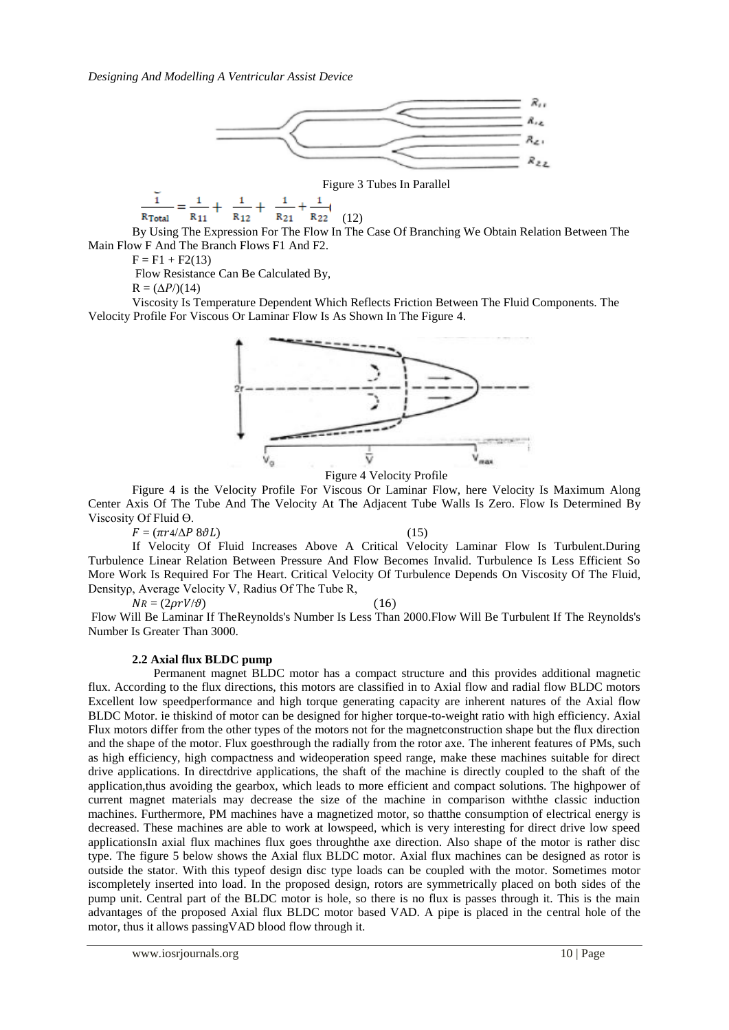

Figure 3 Tubes In Parallel

$$
\frac{1}{R_{\text{Total}}} = \frac{1}{R_{11}} + \frac{1}{R_{12}} + \frac{1}{R_{21}} + \frac{1}{R_{22}} \tag{12}
$$

By Using The Expression For The Flow In The Case Of Branching We Obtain Relation Between The Main Flow F And The Branch Flows F1 And F2.

 $F = F1 + F2(13)$ 

ĭ

Flow Resistance Can Be Calculated By,

 $R = (\Delta P)/(14)$ 

Viscosity Is Temperature Dependent Which Reflects Friction Between The Fluid Components. The Velocity Profile For Viscous Or Laminar Flow Is As Shown In The Figure 4.



Figure 4 Velocity Profile

Figure 4 is the Velocity Profile For Viscous Or Laminar Flow, here Velocity Is Maximum Along Center Axis Of The Tube And The Velocity At The Adjacent Tube Walls Is Zero. Flow Is Determined By Viscosity Of Fluid  $\Theta$ .

 $F = (\pi r 4/\Delta P 8\vartheta L)$  (15)

If Velocity Of Fluid Increases Above A Critical Velocity Laminar Flow Is Turbulent.During Turbulence Linear Relation Between Pressure And Flow Becomes Invalid. Turbulence Is Less Efficient So More Work Is Required For The Heart. Critical Velocity Of Turbulence Depends On Viscosity Of The Fluid, Densityρ, Average Velocity V, Radius Of The Tube R,

 $NR = (2\rho r V/\vartheta)$  (16) Flow Will Be Laminar If TheReynolds's Number Is Less Than 2000.Flow Will Be Turbulent If The Reynolds's

Number Is Greater Than 3000.

#### **2.2 Axial flux BLDC pump**

 Permanent magnet BLDC motor has a compact structure and this provides additional magnetic flux. According to the flux directions, this motors are classified in to Axial flow and radial flow BLDC motors Excellent low speedperformance and high torque generating capacity are inherent natures of the Axial flow BLDC Motor. ie thiskind of motor can be designed for higher torque-to-weight ratio with high efficiency. Axial Flux motors differ from the other types of the motors not for the magnetconstruction shape but the flux direction and the shape of the motor. Flux goesthrough the radially from the rotor axe. The inherent features of PMs, such as high efficiency, high compactness and wideoperation speed range, make these machines suitable for direct drive applications. In directdrive applications, the shaft of the machine is directly coupled to the shaft of the application,thus avoiding the gearbox, which leads to more efficient and compact solutions. The highpower of current magnet materials may decrease the size of the machine in comparison withthe classic induction machines. Furthermore, PM machines have a magnetized motor, so thatthe consumption of electrical energy is decreased. These machines are able to work at lowspeed, which is very interesting for direct drive low speed applicationsIn axial flux machines flux goes throughthe axe direction. Also shape of the motor is rather disc type. The figure 5 below shows the Axial flux BLDC motor. Axial flux machines can be designed as rotor is outside the stator. With this typeof design disc type loads can be coupled with the motor. Sometimes motor iscompletely inserted into load. In the proposed design, rotors are symmetrically placed on both sides of the pump unit. Central part of the BLDC motor is hole, so there is no flux is passes through it. This is the main advantages of the proposed Axial flux BLDC motor based VAD. A pipe is placed in the central hole of the motor, thus it allows passingVAD blood flow through it.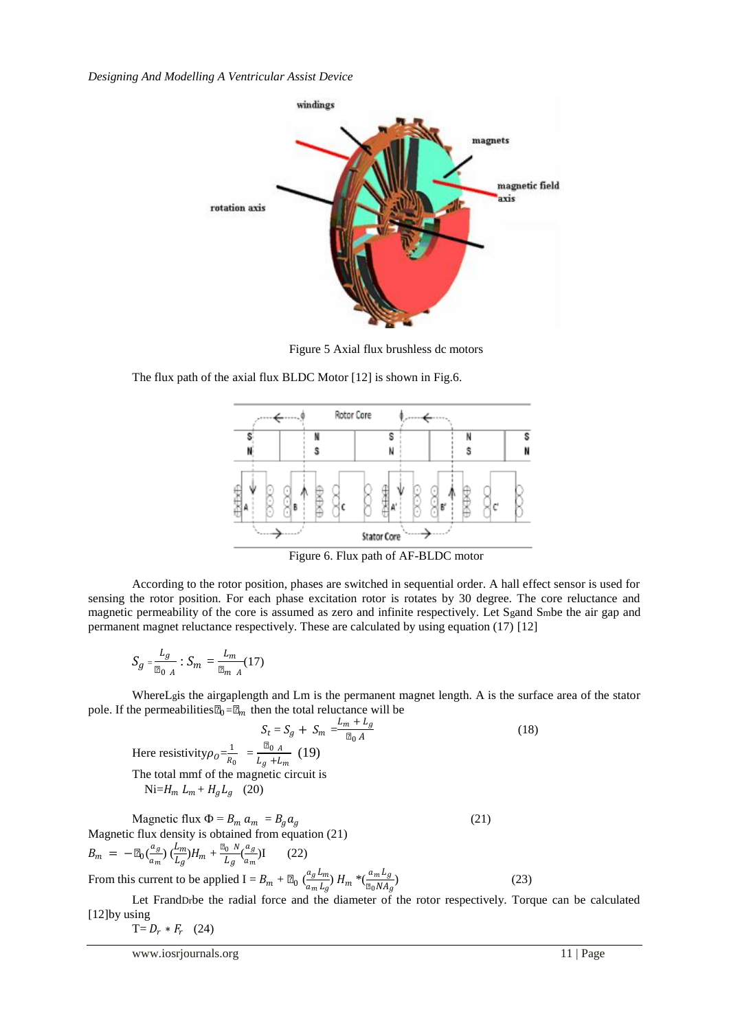*Designing And Modelling A Ventricular Assist Device*



Figure 5 Axial flux brushless dc motors

The flux path of the axial flux BLDC Motor [12] is shown in Fig.6.



Figure 6. Flux path of AF-BLDC motor

According to the rotor position, phases are switched in sequential order. A hall effect sensor is used for sensing the rotor position. For each phase excitation rotor is rotates by 30 degree. The core reluctance and magnetic permeability of the core is assumed as zero and infinite respectively. Let Sgand Smbe the air gap and permanent magnet reluctance respectively. These are calculated by using equation (17) [12]

$$
S_g = \frac{L_g}{\mu_{0 A}} : S_m = \frac{L_m}{\mu_{m A}} (17)
$$

WhereLgis the airgaplength and Lm is the permanent magnet length. A is the surface area of the stator pole. If the permeabilities  $\mu_0 = \mu_m$  then the total reluctance will be

$$
S_t = S_g + S_m = \frac{L_m + L_g}{\mu_0 A}
$$
(18)  
\nHere resistivity $\rho_0 = \frac{1}{R_0} = \frac{\mu_0 A}{L_g + L_m}$  (19)  
\nThe total mmf of the magnetic circuit is  
\nNi= $H_m L_m + H_g L_g$  (20)  
\nMagnetic flux  $\Phi = B_m a_m = B_g a_g$  (21)  
\nMagnetic flux density is obtained from equation (21)  
\n
$$
B_m = -\mu_0(\frac{a_g}{a_m}) (\frac{L_m}{L_g}) H_m + \frac{\mu_0 N}{L_g} (\frac{a_g}{a_m}) I
$$
 (22)

From this current to be applied  $I = B_m + \mu_0 \left( \frac{a_g L_m}{a_L L_m} \right)$  $\frac{a_g L_m}{a_m L_g}$  H<sub>m</sub>  $*(\frac{a_m L_g}{\mu_0 N A_g})$ ) (23)

Let FrandDrbe the radial force and the diameter of the rotor respectively. Torque can be calculated [12]by using

$$
T = D_r * F_r \quad (24)
$$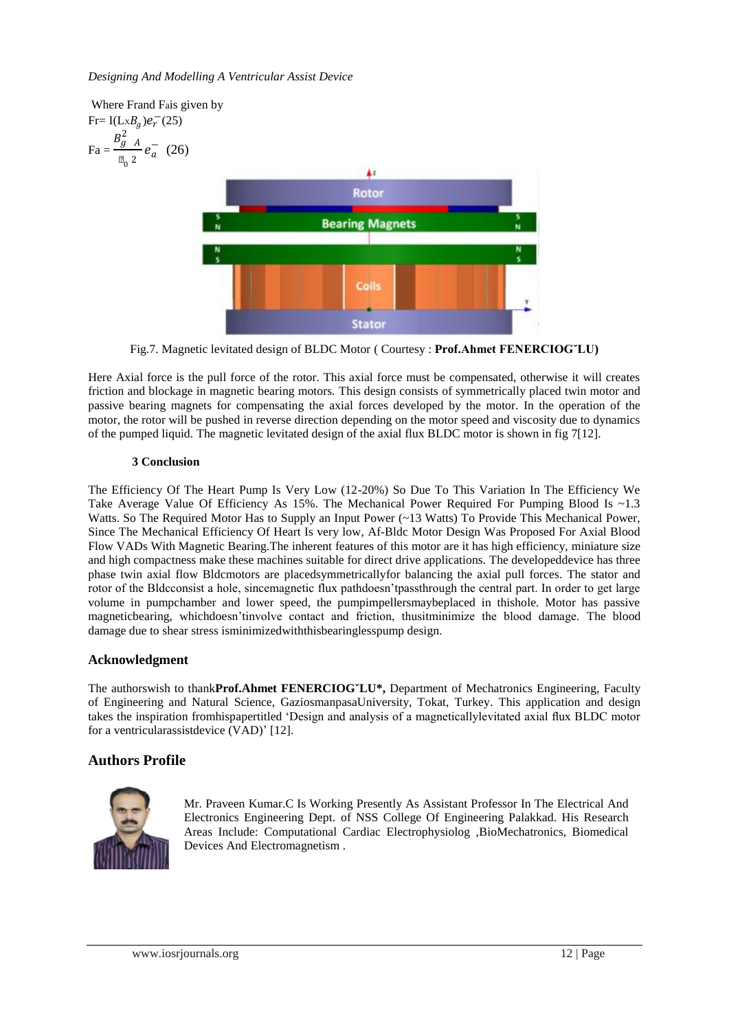

Fig.7. Magnetic levitated design of BLDC Motor ( Courtesy : **Prof.Ahmet FENERCIOG˘LU)**

Here Axial force is the pull force of the rotor. This axial force must be compensated, otherwise it will creates friction and blockage in magnetic bearing motors. This design consists of symmetrically placed twin motor and passive bearing magnets for compensating the axial forces developed by the motor. In the operation of the motor, the rotor will be pushed in reverse direction depending on the motor speed and viscosity due to dynamics of the pumped liquid. The magnetic levitated design of the axial flux BLDC motor is shown in fig 7[12].

# **3 Conclusion**

The Efficiency Of The Heart Pump Is Very Low (12-20%) So Due To This Variation In The Efficiency We Take Average Value Of Efficiency As 15%. The Mechanical Power Required For Pumping Blood Is  $\sim$ 1.3 Watts. So The Required Motor Has to Supply an Input Power (~13 Watts) To Provide This Mechanical Power, Since The Mechanical Efficiency Of Heart Is very low, Af-Bldc Motor Design Was Proposed For Axial Blood Flow VADs With Magnetic Bearing.The inherent features of this motor are it has high efficiency, miniature size and high compactness make these machines suitable for direct drive applications. The developeddevice has three phase twin axial flow Bldcmotors are placedsymmetricallyfor balancing the axial pull forces. The stator and rotor of the Bldcconsist a hole, sincemagnetic flux pathdoesn'tpassthrough the central part. In order to get large volume in pumpchamber and lower speed, the pumpimpellersmaybeplaced in thishole. Motor has passive magneticbearing, whichdoesn"tinvolve contact and friction, thusitminimize the blood damage. The blood damage due to shear stress isminimizedwiththisbearinglesspump design.

# **Acknowledgment**

The authorswish to thank**Prof.Ahmet FENERCIOG˘LU\*,** Department of Mechatronics Engineering, Faculty of Engineering and Natural Science, GaziosmanpasaUniversity, Tokat, Turkey. This application and design takes the inspiration fromhispapertitled "Design and analysis of a magneticallylevitated axial flux BLDC motor for a ventricularassistdevice (VAD)" [12].

# **Authors Profile**



Mr. Praveen Kumar.C Is Working Presently As Assistant Professor In The Electrical And Electronics Engineering Dept. of NSS College Of Engineering Palakkad. His Research Areas Include: Computational Cardiac Electrophysiolog ,BioMechatronics, Biomedical Devices And Electromagnetism .